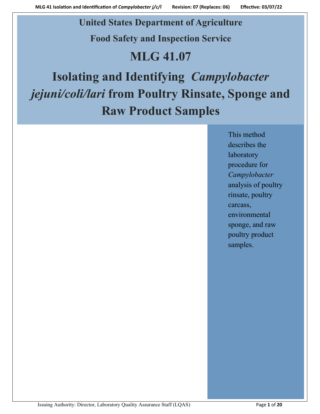# **United States Department of Agriculture**

**Food Safety and Inspection Service**

# **MLG 41.07**

# **Isolating and Identifying** *Campylobacter jejuni/coli/lari* **from Poultry Rinsate, Sponge and Raw Product Samples**

This method describes the laboratory procedure for *Campylobacter* analysis of poultry rinsate, poultry carcass, environmental sponge, and raw poultry product samples.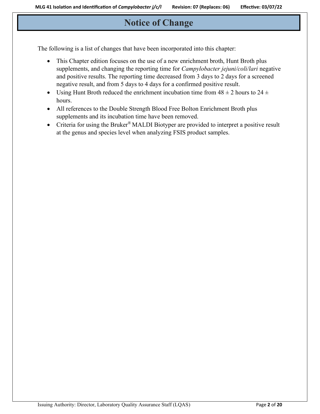# **Notice of Change**

The following is a list of changes that have been incorporated into this chapter:

- This Chapter edition focuses on the use of a new enrichment broth, Hunt Broth plus supplements, and changing the reporting time for *Campylobacter jejuni/coli/lari* negative and positive results. The reporting time decreased from 3 days to 2 days for a screened negative result, and from 5 days to 4 days for a confirmed positive result.
- Using Hunt Broth reduced the enrichment incubation time from  $48 \pm 2$  hours to  $24 \pm$ hours.
- All references to the Double Strength Blood Free Bolton Enrichment Broth plus supplements and its incubation time have been removed.
- Criteria for using the Bruker® MALDI Biotyper are provided to interpret a positive result at the genus and species level when analyzing FSIS product samples.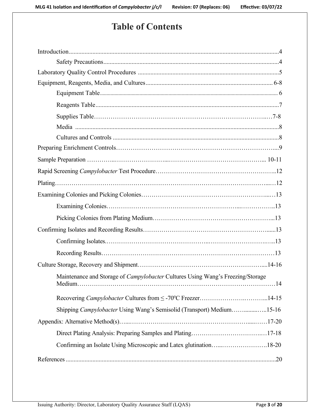# **Table of Contents**

| Maintenance and Storage of Campylobacter Cultures Using Wang's Freezing/Storage |
|---------------------------------------------------------------------------------|
|                                                                                 |
| Shipping Campylobacter Using Wang's Semisolid (Transport) Medium15-16           |
|                                                                                 |
|                                                                                 |
| Confirming an Isolate Using Microscopic and Latex glutination18-20              |
|                                                                                 |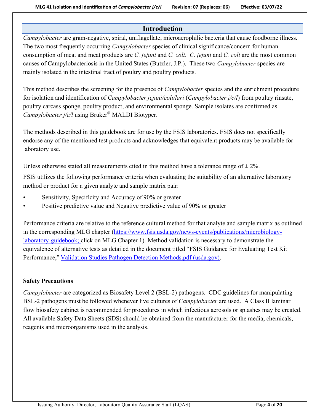# **Introduction**

*Campylobacter* are gram-negative, spiral, uniflagellate, microaerophilic bacteria that cause foodborne illness. The two most frequently occurring *Campylobacter* species of clinical significance/concern for human consumption of meat and meat products are *C. jejuni* and *C. coli*. *C. jejuni* and *C. coli* are the most common causes of Campylobacteriosis in the United States (Butzler, J.P.). These two *Campylobacter* species are mainly isolated in the intestinal tract of poultry and poultry products.

This method describes the screening for the presence of *Campylobacter* species and the enrichment procedure for isolation and identification of *Campylobacter jejuni/coli/lari* (*Campylobacter j/c/l*) from poultry rinsate, poultry carcass sponge, poultry product, and environmental sponge. Sample isolates are confirmed as *Campylobacter j/c/l* using Bruker® MALDI Biotyper.

The methods described in this guidebook are for use by the FSIS laboratories. FSIS does not specifically endorse any of the mentioned test products and acknowledges that equivalent products may be available for laboratory use.

Unless otherwise stated all measurements cited in this method have a tolerance range of  $\pm 2\%$ .

FSIS utilizes the following performance criteria when evaluating the suitability of an alternative laboratory method or product for a given analyte and sample matrix pair:

- Sensitivity, Specificity and Accuracy of 90% or greater
- Positive predictive value and Negative predictive value of 90% or greater

Performance criteria are relative to the reference cultural method for that analyte and sample matrix as outlined in the corresponding MLG chapter [\(https://www.fsis.usda.gov/news-events/publications/microbiology](https://www.fsis.usda.gov/news-events/publications/microbiology-laboratory-guidebook)[laboratory-guidebook;](https://www.fsis.usda.gov/news-events/publications/microbiology-laboratory-guidebook) click on MLG Chapter 1). Method validation is necessary to demonstrate the equivalence of alternative tests as detailed in the document titled "FSIS Guidance for Evaluating Test Kit Performance," [Validation Studies Pathogen Detection Methods.pdf \(usda.gov\).](https://www.fsis.usda.gov/sites/default/files/import/Validation_Studies_Pathogen_Detection_Methods.pdf)

# **Safety Precautions**

*Campylobacter* are categorized as Biosafety Level 2 (BSL-2) pathogens. CDC guidelines for manipulating BSL-2 pathogens must be followed whenever live cultures of *Campylobacter* are used. A Class II laminar flow biosafety cabinet is recommended for procedures in which infectious aerosols or splashes may be created. All available Safety Data Sheets (SDS) should be obtained from the manufacturer for the media, chemicals, reagents and microorganisms used in the analysis.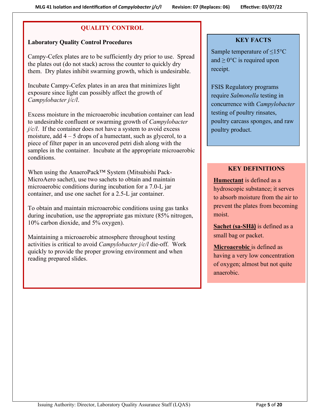# **QUALITY CONTROL**

# <span id="page-4-0"></span>**Laboratory Quality Control Procedures**

Campy-Cefex plates are to be sufficiently dry prior to use. Spread the plates out (do not stack) across the counter to quickly dry them. Dry plates inhibit swarming growth, which is undesirable.

Incubate Campy-Cefex plates in an area that minimizes light exposure since light can possibly affect the growth of *Campylobacter j/c/l*.

Excess moisture in the microaerobic incubation container can lead to undesirable confluent or swarming growth of *Campylobacter j/c/l*. If the container does not have a system to avoid excess moisture, add  $4 - 5$  drops of a humectant, such as glycerol, to a piece of filter paper in an uncovered petri dish along with the samples in the container. Incubate at the appropriate microaerobic conditions.

When using the AnaeroPack™ System (Mitsubishi Pack-MicroAero sachet), use two sachets to obtain and maintain microaerobic conditions during incubation for a 7.0-L jar container, and use one sachet for a 2.5-L jar container.

To obtain and maintain microaerobic conditions using gas tanks during incubation, use the appropriate gas mixture (85% nitrogen, 10% carbon dioxide, and 5% oxygen).

Maintaining a microaerobic atmosphere throughout testing activities is critical to avoid *Campylobacter j/c/l* die-off. Work quickly to provide the proper growing environment and when reading prepared slides.

# **KEY FACTS**

Sample temperature of  $\leq$ 15°C and  $\geq 0$ °C is required upon receipt.

FSIS Regulatory programs require *Salmonella* testing in concurrence with *Campylobacter* testing of poultry rinsates, poultry carcass sponges, and raw poultry product.

# **KEY DEFINITIONS**

**Humectant** is defined as a hydroscopic substance; it serves to absorb moisture from the air to prevent the plates from becoming moist.

**Sachet (sa-SHā)** is defined as a small bag or packet.

**Microaerobic** is defined as having a very low concentration of oxygen; almost but not quite anaerobic.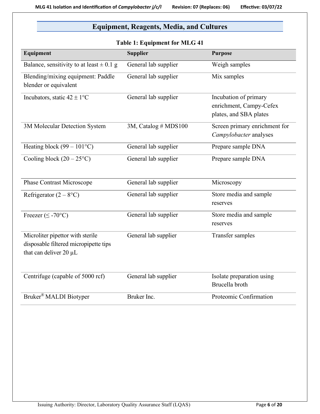# <span id="page-5-1"></span>**Equipment, Reagents, Media, and Cultures**

<span id="page-5-0"></span>

| <b>Table 1: Equipment for MLG 41</b>                                                                |                      |                                                                            |  |
|-----------------------------------------------------------------------------------------------------|----------------------|----------------------------------------------------------------------------|--|
| Equipment                                                                                           | <b>Supplier</b>      | <b>Purpose</b>                                                             |  |
| Balance, sensitivity to at least $\pm$ 0.1 g                                                        | General lab supplier | Weigh samples                                                              |  |
| Blending/mixing equipment: Paddle<br>blender or equivalent                                          | General lab supplier | Mix samples                                                                |  |
| Incubators, static $42 \pm 1$ °C                                                                    | General lab supplier | Incubation of primary<br>enrichment, Campy-Cefex<br>plates, and SBA plates |  |
| 3M Molecular Detection System                                                                       | 3M, Catalog # MDS100 | Screen primary enrichment for<br>Campylobacter analyses                    |  |
| Heating block $(99 - 101$ °C)                                                                       | General lab supplier | Prepare sample DNA                                                         |  |
| Cooling block $(20 - 25^{\circ}C)$                                                                  | General lab supplier | Prepare sample DNA                                                         |  |
| <b>Phase Contrast Microscope</b>                                                                    | General lab supplier | Microscopy                                                                 |  |
| Refrigerator $(2 - 8$ °C)                                                                           | General lab supplier | Store media and sample<br>reserves                                         |  |
| Freezer ( $\leq$ -70°C)                                                                             | General lab supplier | Store media and sample<br>reserves                                         |  |
| Microliter pipettor with sterile<br>disposable filtered micropipette tips<br>that can deliver 20 µL | General lab supplier | Transfer samples                                                           |  |
| Centrifuge (capable of 5000 rcf)                                                                    | General lab supplier | Isolate preparation using<br>Brucella broth                                |  |
| Bruker <sup>®</sup> MALDI Biotyper                                                                  | Bruker Inc.          | Proteomic Confirmation                                                     |  |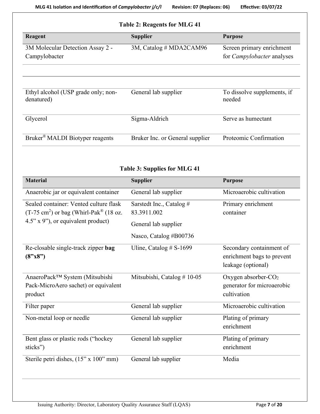| Effective: 03/07/22 |  |  |  |
|---------------------|--|--|--|
|---------------------|--|--|--|

| Reagent                                           | <b>Supplier</b>                 | <b>Purpose</b>                                                 |
|---------------------------------------------------|---------------------------------|----------------------------------------------------------------|
| 3M Molecular Detection Assay 2 -<br>Campylobacter | 3M, Catalog # MDA2CAM96         | Screen primary enrichment<br>for <i>Campylobacter</i> analyses |
| Ethyl alcohol (USP grade only; non-<br>denatured) | General lab supplier            | To dissolve supplements, if<br>needed                          |
| Glycerol                                          | Sigma-Aldrich                   | Serve as humectant                                             |
| Bruker <sup>®</sup> MALDI Biotyper reagents       | Bruker Inc. or General supplier | Proteomic Confirmation                                         |

# **Table 3: Supplies for MLG 41**

<span id="page-6-0"></span>

| <b>Material</b>                                              | <b>Supplier</b>            | <b>Purpose</b>                  |
|--------------------------------------------------------------|----------------------------|---------------------------------|
| Anaerobic jar or equivalent container                        | General lab supplier       | Microaerobic cultivation        |
| Sealed container: Vented culture flask                       | Sarstedt Inc., Catalog #   | Primary enrichment              |
| $(T-75 \text{ cm}^2)$ or bag (Whirl-Pak <sup>®</sup> (18 oz. | 83.3911.002                | container                       |
| $4.5$ " x 9"), or equivalent product)                        | General lab supplier       |                                 |
|                                                              | Nasco, Catalog #B00736     |                                 |
| Re-closable single-track zipper bag                          | Uline, Catalog $# S-1699$  | Secondary containment of        |
| (8"x8")                                                      |                            | enrichment bags to prevent      |
|                                                              |                            | leakage (optional)              |
| AnaeroPack™ System (Mitsubishi                               | Mitsubishi, Catalog #10-05 | Oxygen absorber-CO <sub>2</sub> |
| Pack-MicroAero sachet) or equivalent                         |                            | generator for microaerobic      |
| product                                                      |                            | cultivation                     |
| Filter paper                                                 | General lab supplier       | Microaerobic cultivation        |
| Non-metal loop or needle                                     | General lab supplier       | Plating of primary              |
|                                                              |                            | enrichment                      |
| Bent glass or plastic rods ("hockey"                         | General lab supplier       | Plating of primary              |
| sticks")                                                     |                            | enrichment                      |
| Sterile petri dishes, (15" x 100" mm)                        | General lab supplier       | Media                           |
|                                                              |                            |                                 |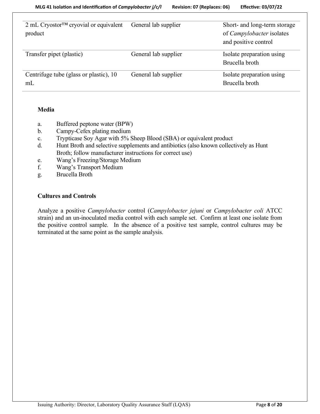| 2 mL Cryostor™ cryovial or equivalent<br>product | General lab supplier | Short- and long-term storage<br>of <i>Campylobacter</i> isolates<br>and positive control |
|--------------------------------------------------|----------------------|------------------------------------------------------------------------------------------|
| Transfer pipet (plastic)                         | General lab supplier | Isolate preparation using<br>Brucella broth                                              |
| Centrifuge tube (glass or plastic), 10<br>mL     | General lab supplier | Isolate preparation using<br>Brucella broth                                              |

### **Media**

- a. Buffered peptone water (BPW)
- b. Campy-Cefex plating medium
- c. Trypticase Soy Agar with 5% Sheep Blood (SBA) or equivalent product
- d. Hunt Broth and selective supplements and antibiotics (also known collectively as Hunt Broth; follow manufacturer instructions for correct use)
- e. Wang's Freezing/Storage Medium
- f. Wang's Transport Medium
- g. Brucella Broth

# **Cultures and Controls**

Analyze a positive *Campylobacter* control (*Campylobacter jejuni* or *Campylobacter coli* ATCC strain) and an un-inoculated media control with each sample set. Confirm at least one isolate from the positive control sample. In the absence of a positive test sample, control cultures may be terminated at the same point as the sample analysis.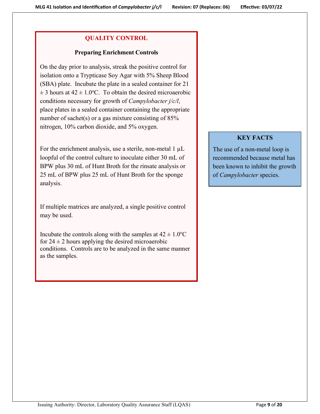# **QUALITY CONTROL**

# **Preparing Enrichment Controls**

On the day prior to analysis, streak the positive control for isolation onto a Trypticase Soy Agar with 5% Sheep Blood (SBA) plate. Incubate the plate in a sealed container for 21  $\pm$  3 hours at 42  $\pm$  1.0°C. To obtain the desired microaerobic conditions necessary for growth of *Campylobacter j/c/l*, place plates in a sealed container containing the appropriate number of sachet(s) or a gas mixture consisting of 85% nitrogen, 10% carbon dioxide, and 5% oxygen.

For the enrichment analysis, use a sterile, non-metal  $1 \mu L$ loopful of the control culture to inoculate either 30 mL of BPW plus 30 mL of Hunt Broth for the rinsate analysis or 25 mL of BPW plus 25 mL of Hunt Broth for the sponge analysis.

If multiple matrices are analyzed, a single positive control may be used.

Incubate the controls along with the samples at  $42 \pm 1.0^{\circ}\text{C}$ for  $24 \pm 2$  hours applying the desired microaerobic conditions. Controls are to be analyzed in the same manner as the samples.

# **KEY FACTS**

The use of a non-metal loop is recommended because metal has been known to inhibit the growth of *Campylobacter* species.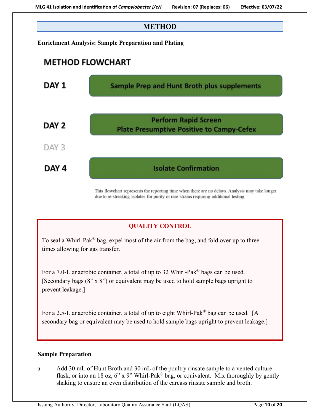

This flowchart represents the reporting time when there are no delays. Analysis may take longer due to re-streaking isolates for purity or rare strains requiring additional testing.

# **QUALITY CONTROL**

To seal a Whirl-Pak<sup>®</sup> bag, expel most of the air from the bag, and fold over up to three times allowing for gas transfer.

For a 7.0-L anaerobic container, a total of up to 32 Whirl-Pak® bags can be used. [Secondary bags (8" x 8") or equivalent may be used to hold sample bags upright to prevent leakage.]

For a 2.5-L anaerobic container, a total of up to eight Whirl-Pak® bag can be used. [A secondary bag or equivalent may be used to hold sample bags upright to prevent leakage.]

### **Sample Preparation**

a. Add 30 mL of Hunt Broth and 30 mL of the poultry rinsate sample to a vented culture flask, or into an 18 oz, 6" x 9" Whirl-Pak® bag, or equivalent. Mix thoroughly by gently shaking to ensure an even distribution of the carcass rinsate sample and broth.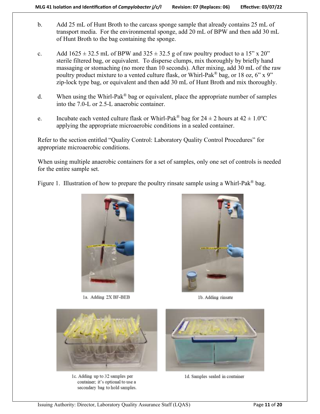- b. Add 25 mL of Hunt Broth to the carcass sponge sample that already contains 25 mL of transport media. For the environmental sponge, add 20 mL of BPW and then add 30 mL of Hunt Broth to the bag containing the sponge.
- c. Add  $1625 \pm 32.5$  mL of BPW and  $325 \pm 32.5$  g of raw poultry product to a 15" x 20" sterile filtered bag, or equivalent. To disperse clumps, mix thoroughly by briefly hand massaging or stomaching (no more than 10 seconds). After mixing, add 30 mL of the raw poultry product mixture to a vented culture flask, or Whirl-Pak<sup>®</sup> bag, or 18 oz, 6" x 9" zip-lock type bag, or equivalent and then add 30 mL of Hunt Broth and mix thoroughly.
- d. When using the Whirl-Pak<sup>®</sup> bag or equivalent, place the appropriate number of samples into the 7.0-L or 2.5-L anaerobic container.
- e. Incubate each vented culture flask or Whirl-Pak<sup>®</sup> bag for  $24 \pm 2$  hours at  $42 \pm 1.0$ °C applying the appropriate microaerobic conditions in a sealed container.

Refer to the section entitled "Quality Control: Laboratory Quality Control Procedures" for appropriate microaerobic conditions.

When using multiple anaerobic containers for a set of samples, only one set of controls is needed for the entire sample set.

Figure 1. Illustration of how to prepare the poultry rinsate sample using a Whirl-Pak<sup>®</sup> bag.



1a. Adding 2X BF-BEB



1b. Adding rinsate



1c. Adding up to 32 samples per container; it's optional to use a secondary bag to hold samples.



1d. Samples sealed in container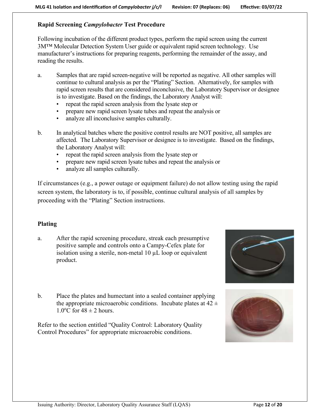# **Rapid Screening** *Campylobacter* **Test Procedure**

Following incubation of the different product types, perform the rapid screen using the current 3M™ Molecular Detection System User guide or equivalent rapid screen technology. Use manufacturer's instructions for preparing reagents, performing the remainder of the assay, and reading the results.

- a. Samples that are rapid screen-negative will be reported as negative. All other samples will continue to cultural analysis as per the "Plating" Section. Alternatively, for samples with rapid screen results that are considered inconclusive, the Laboratory Supervisor or designee is to investigate. Based on the findings, the Laboratory Analyst will:
	- repeat the rapid screen analysis from the lysate step or
	- prepare new rapid screen lysate tubes and repeat the analysis or
	- analyze all inconclusive samples culturally.
- b. In analytical batches where the positive control results are NOT positive, all samples are affected. The Laboratory Supervisor or designee is to investigate. Based on the findings, the Laboratory Analyst will:
	- repeat the rapid screen analysis from the lysate step or
	- prepare new rapid screen lysate tubes and repeat the analysis or
	- analyze all samples culturally.

If circumstances (e.g., a power outage or equipment failure) do not allow testing using the rapid screen system, the laboratory is to, if possible, continue cultural analysis of all samples by proceeding with the "Plating" Section instructions.

# **Plating**

a. After the rapid screening procedure, streak each presumptive positive sample and controls onto a Campy-Cefex plate for isolation using a sterile, non-metal 10 µL loop or equivalent product.



Refer to the section entitled "Quality Control: Laboratory Quality Control Procedures" for appropriate microaerobic conditions.





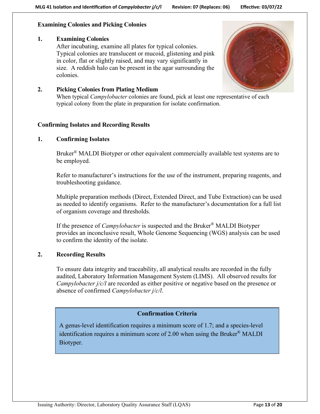# **Examining Colonies and Picking Colonies**

# **1. Examining Colonies**

After incubating, examine all plates for typical colonies. Typical colonies are translucent or mucoid, glistening and pink in color, flat or slightly raised, and may vary significantly in size. A reddish halo can be present in the agar surrounding the colonies.



# **2. Picking Colonies from Plating Medium**

When typical *Campylobacter* colonies are found, pick at least one representative of each typical colony from the plate in preparation for isolate confirmation.

# **Confirming Isolates and Recording Results**

# **1. Confirming Isolates**

Bruker<sup>®</sup> MALDI Biotyper or other equivalent commercially available test systems are to be employed.

Refer to manufacturer's instructions for the use of the instrument, preparing reagents, and troubleshooting guidance.

Multiple preparation methods (Direct, Extended Direct, and Tube Extraction) can be used as needed to identify organisms. Refer to the manufacturer's documentation for a full list of organism coverage and thresholds.

If the presence of *Campylobacter* is suspected and the Bruker® MALDI Biotyper provides an inconclusive result, Whole Genome Sequencing (WGS) analysis can be used to confirm the identity of the isolate.

# **2. Recording Results**

To ensure data integrity and traceability, all analytical results are recorded in the fully audited, Laboratory Information Management System (LIMS). All observed results for *Campylobacter j/c/l* are recorded as either positive or negative based on the presence or absence of confirmed *Campylobacter j/c/l*.

# **Confirmation Criteria**

A genus-level identification requires a minimum score of 1.7; and a species-level identification requires a minimum score of 2.00 when using the Bruker® MALDI Biotyper.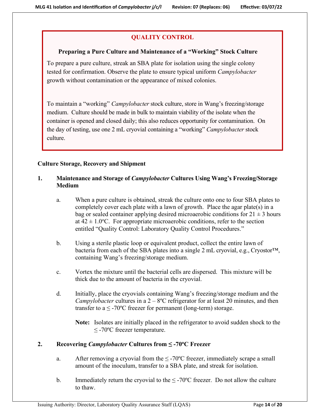# **QUALITY CONTROL**

# **Preparing a Pure Culture and Maintenance of a "Working" Stock Culture**

To prepare a pure culture, streak an SBA plate for isolation using the single colony tested for confirmation. Observe the plate to ensure typical uniform *Campylobacter* growth without contamination or the appearance of mixed colonies.

To maintain a "working" *Campylobacter* stock culture, store in Wang's freezing/storage medium. Culture should be made in bulk to maintain viability of the isolate when the container is opened and closed daily; this also reduces opportunity for contamination. On the day of testing, use one 2 mL cryovial containing a "working" *Campylobacter* stock culture.

# **Culture Storage, Recovery and Shipment**

# **1. Maintenance and Storage of** *Campylobacter* **Cultures Using Wang's Freezing/Storage Medium**

- a. When a pure culture is obtained, streak the culture onto one to four SBA plates to completely cover each plate with a lawn of growth. Place the agar plate(s) in a bag or sealed container applying desired microaerobic conditions for  $21 \pm 3$  hours at  $42 \pm 1.0$ °C. For appropriate microaerobic conditions, refer to the section entitled "Quality Control: Laboratory Quality Control Procedures."
- b. Using a sterile plastic loop or equivalent product, collect the entire lawn of bacteria from each of the SBA plates into a single 2 mL cryovial, e.g., Cryostor™, containing Wang's freezing/storage medium.
- c. Vortex the mixture until the bacterial cells are dispersed. This mixture will be thick due to the amount of bacteria in the cryovial.
- d. Initially, place the cryovials containing Wang's freezing/storage medium and the *Campylobacter* cultures in a 2 – 8ºC refrigerator for at least 20 minutes, and then transfer to a  $\leq$  -70°C freezer for permanent (long-term) storage.
	- **Note:** Isolates are initially placed in the refrigerator to avoid sudden shock to the  $≤$  -70 $°C$  freezer temperature.

# **2. Recovering** *Campylobacter* **Cultures from ≤ -70<sup>o</sup>C Freezer**

- a. After removing a cryovial from the  $\leq$  -70°C freezer, immediately scrape a small amount of the inoculum, transfer to a SBA plate, and streak for isolation.
- b. Immediately return the cryovial to the  $\leq$  -70°C freezer. Do not allow the culture to thaw.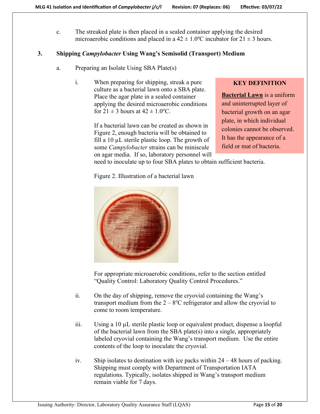c. The streaked plate is then placed in a sealed container applying the desired microaerobic conditions and placed in a  $42 \pm 1.0$ °C incubator for  $21 \pm 3$  hours.

# **3. Shipping** *Campylobacter* **Using Wang's Semisolid (Transport) Medium**

- a. Preparing an Isolate Using SBA Plate(s)
	- i. When preparing for shipping, streak a pure culture as a bacterial lawn onto a SBA plate. Place the agar plate in a sealed container applying the desired microaerobic conditions for  $21 \pm 3$  hours at  $42 \pm 1.0$ <sup>o</sup>C.

If a bacterial lawn can be created as shown in Figure 2, enough bacteria will be obtained to fill a 10  $\mu$ L sterile plastic loop. The growth of some *Campylobacter* strains can be miniscule on agar media. If so, laboratory personnel will

### **KEY DEFINITION**

**Bacterial Lawn** is a uniform and uninterrupted layer of bacterial growth on an agar plate, in which individual colonies cannot be observed. It has the appearance of a field or mat of bacteria.

need to inoculate up to four SBA plates to obtain sufficient bacteria.

Figure 2. Illustration of a bacterial lawn



For appropriate microaerobic conditions, refer to the section entitled "Quality Control: Laboratory Quality Control Procedures."

- ii. On the day of shipping, remove the cryovial containing the Wang's transport medium from the  $2 - 8$ °C refrigerator and allow the cryovial to come to room temperature.
- iii. Using a 10 µL sterile plastic loop or equivalent product, dispense a loopful of the bacterial lawn from the SBA plate(s) into a single, appropriately labeled cryovial containing the Wang's transport medium. Use the entire contents of the loop to inoculate the cryovial.
- iv. Ship isolates to destination with ice packs within 24 48 hours of packing. Shipping must comply with Department of Transportation IATA regulations. Typically, isolates shipped in Wang's transport medium remain viable for 7 days.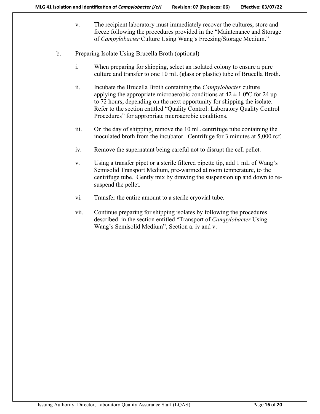- v. The recipient laboratory must immediately recover the cultures, store and freeze following the procedures provided in the "Maintenance and Storage of *Campylobacter* Culture Using Wang's Freezing/Storage Medium."
- <span id="page-15-0"></span>b. Preparing Isolate Using Brucella Broth (optional)
	- i. When preparing for shipping, select an isolated colony to ensure a pure culture and transfer to one 10 mL (glass or plastic) tube of Brucella Broth.
	- ii. Incubate the Brucella Broth containing the *Campylobacter* culture applying the appropriate microaerobic conditions at  $42 \pm 1.0$ °C for 24 up to 72 hours, depending on the next opportunity for shipping the isolate. Refer to the section entitled "Quality Control: Laboratory Quality Control Procedures" for appropriate microaerobic conditions.
	- iii. On the day of shipping, remove the 10 mL centrifuge tube containing the inoculated broth from the incubator. Centrifuge for 3 minutes at 5,000 rcf.
	- iv. Remove the supernatant being careful not to disrupt the cell pellet.
	- v. Using a transfer pipet or a sterile filtered pipette tip, add 1 mL of Wang's Semisolid Transport Medium, pre-warmed at room temperature, to the centrifuge tube. Gently mix by drawing the suspension up and down to resuspend the pellet.
	- vi. Transfer the entire amount to a sterile cryovial tube.
	- vii. Continue preparing for shipping isolates by following the procedures described in the section entitled "Transport of *Campylobacter* Using Wang's Semisolid Medium", Section a. iv and v.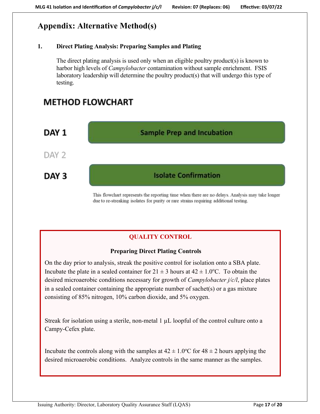# **Appendix: Alternative Method(s)**

# **1. Direct Plating Analysis: Preparing Samples and Plating**

The direct plating analysis is used only when an eligible poultry product(s) is known to harbor high levels of *Campylobacter* contamination without sample enrichment. FSIS laboratory leadership will determine the poultry product(s) that will undergo this type of testing.

# **METHOD FLOWCHART**



This flowchart represents the reporting time when there are no delays. Analysis may take longer due to re-streaking isolates for purity or rare strains requiring additional testing.

# **QUALITY CONTROL**

# **Preparing Direct Plating Controls**

On the day prior to analysis, streak the positive control for isolation onto a SBA plate. Incubate the plate in a sealed container for  $21 \pm 3$  hours at  $42 \pm 1.0$ °C. To obtain the desired microaerobic conditions necessary for growth of *Campylobacter j/c/l*, place plates in a sealed container containing the appropriate number of sachet(s) or a gas mixture consisting of 85% nitrogen, 10% carbon dioxide, and 5% oxygen.

Streak for isolation using a sterile, non-metal 1 µL loopful of the control culture onto a Campy-Cefex plate.

Incubate the controls along with the samples at  $42 \pm 1.0^{\circ}$ C for  $48 \pm 2$  hours applying the desired microaerobic conditions. Analyze controls in the same manner as the samples.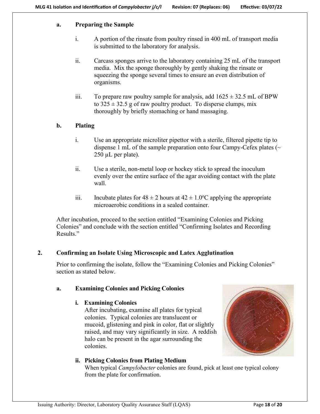# **a. Preparing the Sample**

- i. A portion of the rinsate from poultry rinsed in 400 mL of transport media is submitted to the laboratory for analysis.
- ii. Carcass sponges arrive to the laboratory containing 25 mL of the transport media. Mix the sponge thoroughly by gently shaking the rinsate or squeezing the sponge several times to ensure an even distribution of organisms.
- iii. To prepare raw poultry sample for analysis, add  $1625 \pm 32.5$  mL of BPW to  $325 \pm 32.5$  g of raw poultry product. To disperse clumps, mix thoroughly by briefly stomaching or hand massaging.

# **b. Plating**

- i. Use an appropriate microliter pipettor with a sterile, filtered pipette tip to dispense 1 mL of the sample preparation onto four Campy-Cefex plates ( $\sim$ 250 µL per plate).
- ii. Use a sterile, non-metal loop or hockey stick to spread the inoculum evenly over the entire surface of the agar avoiding contact with the plate wall.
- iii. Incubate plates for  $48 \pm 2$  hours at  $42 \pm 1.0^{\circ}$ C applying the appropriate microaerobic conditions in a sealed container.

After incubation, proceed to the section entitled "Examining Colonies and Picking Colonies" and conclude with the section entitled "Confirming Isolates and Recording Results."

# **2. Confirming an Isolate Using Microscopic and Latex Agglutination**

Prior to confirming the isolate, follow the "Examining Colonies and Picking Colonies" section as stated below.

# **a. Examining Colonies and Picking Colonies**

### **i. Examining Colonies**

After incubating, examine all plates for typical colonies. Typical colonies are translucent or mucoid, glistening and pink in color, flat or slightly raised, and may vary significantly in size. A reddish halo can be present in the agar surrounding the colonies.



# **ii. Picking Colonies from Plating Medium**

When typical *Campylobacter* colonies are found, pick at least one typical colony from the plate for confirmation.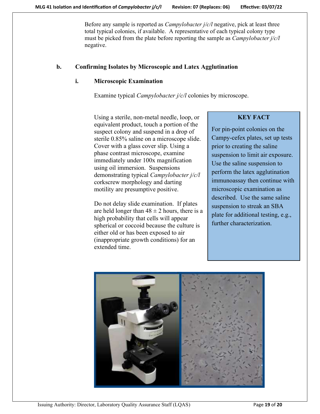Before any sample is reported as *Campylobacter j/c/l* negative, pick at least three total typical colonies, if available. A representative of each typical colony type must be picked from the plate before reporting the sample as *Campylobacter j/c/l* negative.

## **b. Confirming Isolates by Microscopic and Latex Agglutination**

### **i. Microscopic Examination**

Examine typical *Campylobacter j/c/l* colonies by microscope.

Using a sterile, non-metal needle, loop, or equivalent product, touch a portion of the suspect colony and suspend in a drop of sterile 0.85% saline on a microscope slide. Cover with a glass cover slip. Using a phase contrast microscope, examine immediately under 100x magnification using oil immersion. Suspensions demonstrating typical *Campylobacter j/c/l* corkscrew morphology and darting motility are presumptive positive.

Do not delay slide examination. If plates are held longer than  $48 \pm 2$  hours, there is a high probability that cells will appear spherical or coccoid because the culture is either old or has been exposed to air (inappropriate growth conditions) for an extended time.

# **KEY FACT**

For pin-point colonies on the Campy-cefex plates, set up tests prior to creating the saline suspension to limit air exposure. Use the saline suspension to perform the latex agglutination immunoassay then continue with microscopic examination as described. Use the same saline suspension to streak an SBA plate for additional testing, e.g., further characterization.